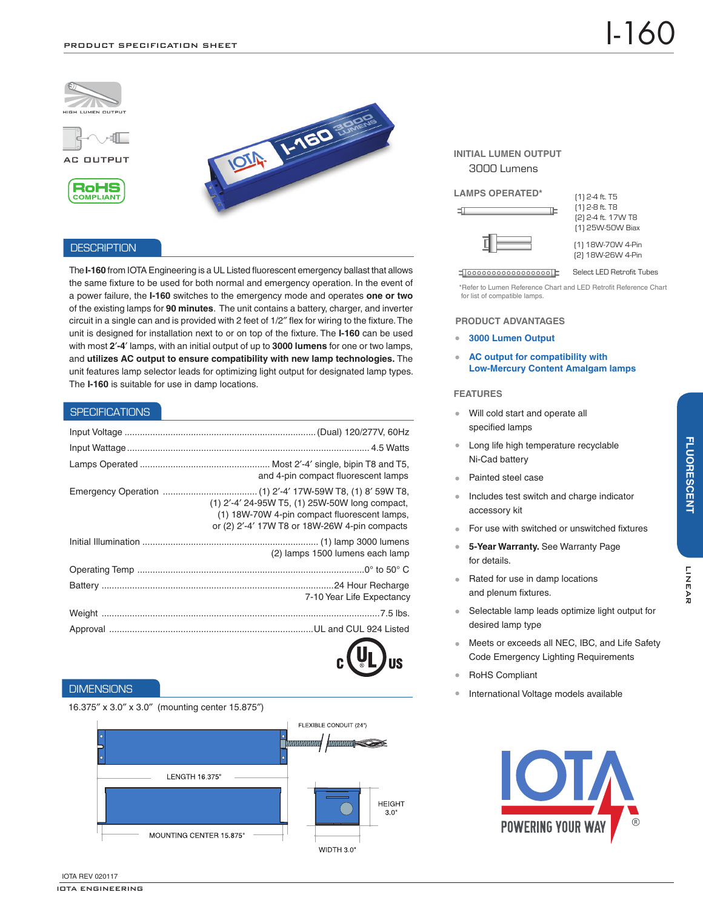





# **DESCRIPTION**

The **I-160** from IOTA Engineering is a UL Listed fluorescent emergency ballast that allows the same fixture to be used for both normal and emergency operation. In the event of a power failure, the **I-160** switches to the emergency mode and operates **one or two** of the existing lamps for **90 minutes**. The unit contains a battery, charger, and inverter circuit in a single can and is provided with 2 feet of 1/2″ flex for wiring to the fixture. The unit is designed for installation next to or on top of the fixture. The **I-160** can be used with most **2**′**-4**′ lamps, with an initial output of up to **3000 lumens** for one or two lamps, and **utilizes AC output to ensure compatibility with new lamp technologies.** The unit features lamp selector leads for optimizing light output for designated lamp types. The **I-160** is suitable for use in damp locations.

IOTA: 1-150 %

# **SPECIFICATIONS**

| and 4-pin compact fluorescent lamps                                                                                                             |
|-------------------------------------------------------------------------------------------------------------------------------------------------|
| (1) 2'-4' 24-95W T5, (1) 25W-50W long compact,<br>(1) 18W-70W 4-pin compact fluorescent lamps,<br>or (2) 2'-4' 17W T8 or 18W-26W 4-pin compacts |
| (2) lamps 1500 lumens each lamp                                                                                                                 |
|                                                                                                                                                 |
| 7-10 Year Life Expectancy                                                                                                                       |
|                                                                                                                                                 |
|                                                                                                                                                 |

# **DIMENSIONS**

# 16.375″ x 3.0″ x 3.0″ (mounting center 15.875″)



# **INITIAL LUMEN OUTPUT** 3000 Lumens

#### **LAMPS OPERATED\***

工



 $\blacksquare$ 000000000000000000 $\blacksquare$ 

(1) 2-4 ft. T5 (1) 2-8 ft. T8 (2) 2-4 ft. 17W T8 (1) 25W-50W Biax

(1) 18W-70W 4-Pin (2) 18W-26W 4-Pin

Select LED Retrofit Tubes

\*Refer to Lumen Reference Chart and LED Retrofit Reference Chart for list of compatible lamps.

#### **PRODUCT ADVANTAGES**

- $\ddot{\phantom{a}}$ **3000 Lumen Output**
- $\hat{\mathbf{0}}$ **AC output for compatibility with Low-Mercury Content Amalgam lamps**

### **FEATURES**

- Will cold start and operate all  $\bullet$ specified lamps
- Long life high temperature recyclable Ni-Cad battery
- Painted steel case
- Includes test switch and charge indicator accessory kit
- For use with switched or unswitched fixtures
- **5-Year Warranty.** See Warranty Page for details.
- $\alpha$ Rated for use in damp locations and plenum fixtures.
- Selectable lamp leads optimize light output for  $\bullet$  . desired lamp type
- Meets or exceeds all NEC, IBC, and Life Safety Code Emergency Lighting Requirements
- RoHS Compliant
- International Voltage models available